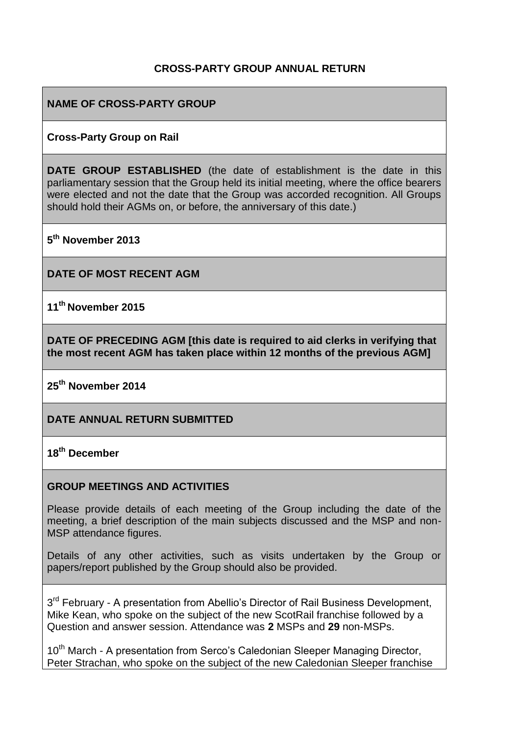## **CROSS-PARTY GROUP ANNUAL RETURN**

## **NAME OF CROSS-PARTY GROUP**

#### **Cross-Party Group on Rail**

**DATE GROUP ESTABLISHED** (the date of establishment is the date in this parliamentary session that the Group held its initial meeting, where the office bearers were elected and not the date that the Group was accorded recognition. All Groups should hold their AGMs on, or before, the anniversary of this date.)

**5 th November 2013**

**DATE OF MOST RECENT AGM**

**11th November 2015**

**DATE OF PRECEDING AGM [this date is required to aid clerks in verifying that the most recent AGM has taken place within 12 months of the previous AGM]**

**25th November 2014**

**DATE ANNUAL RETURN SUBMITTED**

**18 th December**

#### **GROUP MEETINGS AND ACTIVITIES**

Please provide details of each meeting of the Group including the date of the meeting, a brief description of the main subjects discussed and the MSP and non-MSP attendance figures.

Details of any other activities, such as visits undertaken by the Group or papers/report published by the Group should also be provided.

3<sup>rd</sup> February - A presentation from Abellio's Director of Rail Business Development, Mike Kean, who spoke on the subject of the new ScotRail franchise followed by a Question and answer session. Attendance was **2** MSPs and **29** non-MSPs.

10<sup>th</sup> March - A presentation from Serco's Caledonian Sleeper Managing Director, Peter Strachan, who spoke on the subject of the new Caledonian Sleeper franchise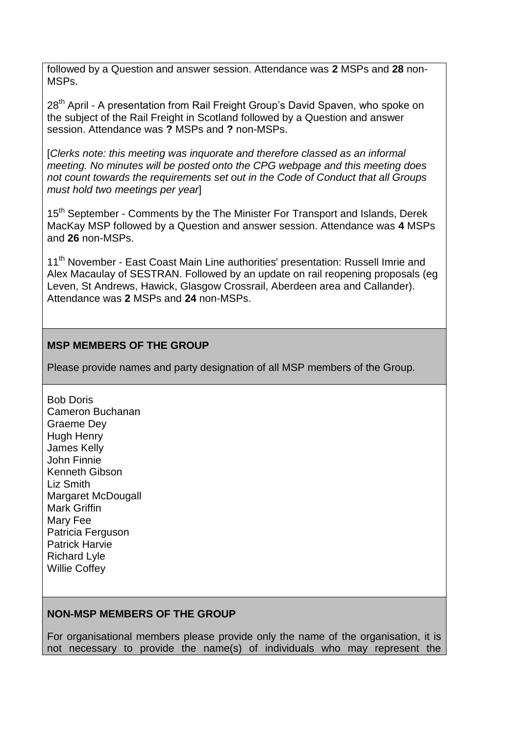followed by a Question and answer session. Attendance was **2** MSPs and **28** non-MSPs.

28<sup>th</sup> April - A presentation from Rail Freight Group's David Spaven, who spoke on the subject of the Rail Freight in Scotland followed by a Question and answer session. Attendance was **?** MSPs and **?** non-MSPs.

[*Clerks note: this meeting was inquorate and therefore classed as an informal meeting. No minutes will be posted onto the CPG webpage and this meeting does not count towards the requirements set out in the Code of Conduct that all Groups must hold two meetings per year*]

15<sup>th</sup> September - Comments by the The Minister For Transport and Islands, Derek MacKay MSP followed by a Question and answer session. Attendance was **4** MSPs and **26** non-MSPs.

11<sup>th</sup> November - East Coast Main Line authorities' presentation: Russell Imrie and Alex Macaulay of SESTRAN. Followed by an update on rail reopening proposals (eg Leven, St Andrews, Hawick, Glasgow Crossrail, Aberdeen area and Callander). Attendance was **2** MSPs and **24** non-MSPs.

#### **MSP MEMBERS OF THE GROUP**

Please provide names and party designation of all MSP members of the Group.

 [Bob Doris](http://www.scottish.parliament.uk/msps/currentmsps/Bob-Doris-MSP.aspx) [Cameron Buchanan](http://www.scottish.parliament.uk/msps/currentmsps/Cameron-Buchanan-MSP.aspx) [Graeme Dey](http://www.scottish.parliament.uk/msps/currentmsps/Graeme-Dey-MSP.aspx) [Hugh Henry](http://www.scottish.parliament.uk/msps/currentmsps/Hugh-Henry-MSP.aspx) [James Kelly](http://www.scottish.parliament.uk/msps/currentmsps/James-Kelly-MSP.aspx) [John Finnie](http://www.scottish.parliament.uk/msps/currentmsps/John-Finnie-MSP.aspx) [Kenneth Gibson](http://www.scottish.parliament.uk/msps/currentmsps/Kenneth-Gibson-MSP.aspx) [Liz Smith](http://www.scottish.parliament.uk/msps/currentmsps/Liz-Smith-MSP.aspx) [Margaret McDougall](http://www.scottish.parliament.uk/msps/currentmsps/Margaret-McDougall-MSP.aspx) [Mark Griffin](http://www.scottish.parliament.uk/msps/currentmsps/Mark-Griffin-MSP.aspx) [Mary Fee](http://www.scottish.parliament.uk/msps/currentmsps/Mary-Fee-MSP.aspx) [Patricia Ferguson](http://www.scottish.parliament.uk/msps/currentmsps/Patricia-Ferguson-MSP.aspx) [Patrick Harvie](http://www.scottish.parliament.uk/msps/currentmsps/Patrick-Harvie-MSP.aspx) [Richard Lyle](http://www.scottish.parliament.uk/msps/currentmsps/Richard-Lyle-MSP.aspx) [Willie Coffey](http://www.scottish.parliament.uk/msps/currentmsps/Willie-Coffey-MSP.aspx)

# **NON-MSP MEMBERS OF THE GROUP**

For organisational members please provide only the name of the organisation, it is not necessary to provide the name(s) of individuals who may represent the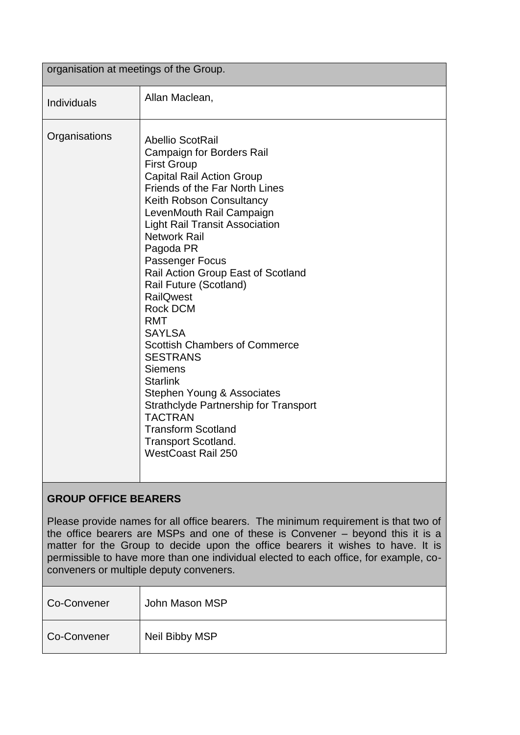| organisation at meetings of the Group. |                                                                                                                                                                                                                                                                                                                                                                                                                                                                                                                                                                                                                                                                                                                                                      |  |
|----------------------------------------|------------------------------------------------------------------------------------------------------------------------------------------------------------------------------------------------------------------------------------------------------------------------------------------------------------------------------------------------------------------------------------------------------------------------------------------------------------------------------------------------------------------------------------------------------------------------------------------------------------------------------------------------------------------------------------------------------------------------------------------------------|--|
| Individuals                            | Allan Maclean,                                                                                                                                                                                                                                                                                                                                                                                                                                                                                                                                                                                                                                                                                                                                       |  |
| Organisations                          | <b>Abellio ScotRail</b><br><b>Campaign for Borders Rail</b><br><b>First Group</b><br><b>Capital Rail Action Group</b><br><b>Friends of the Far North Lines</b><br>Keith Robson Consultancy<br>LevenMouth Rail Campaign<br><b>Light Rail Transit Association</b><br><b>Network Rail</b><br>Pagoda PR<br>Passenger Focus<br>Rail Action Group East of Scotland<br>Rail Future (Scotland)<br><b>RailQwest</b><br><b>Rock DCM</b><br><b>RMT</b><br><b>SAYLSA</b><br><b>Scottish Chambers of Commerce</b><br><b>SESTRANS</b><br><b>Siemens</b><br><b>Starlink</b><br>Stephen Young & Associates<br><b>Strathclyde Partnership for Transport</b><br><b>TACTRAN</b><br><b>Transform Scotland</b><br><b>Transport Scotland.</b><br><b>WestCoast Rail 250</b> |  |

# **GROUP OFFICE BEARERS**

Please provide names for all office bearers. The minimum requirement is that two of the office bearers are MSPs and one of these is Convener – beyond this it is a matter for the Group to decide upon the office bearers it wishes to have. It is permissible to have more than one individual elected to each office, for example, coconveners or multiple deputy conveners.

| Co-Convener | John Mason MSP |
|-------------|----------------|
| Co-Convener | Neil Bibby MSP |